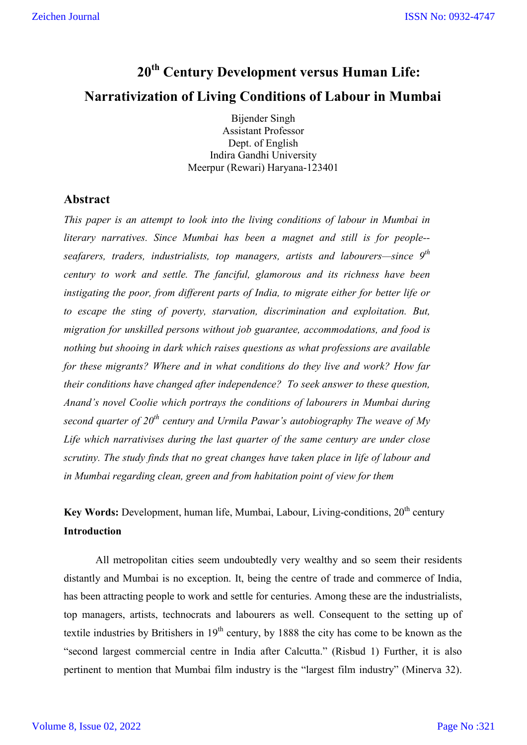# **20th Century Development versus Human Life: Narrativization of Living Conditions of Labour in Mumbai**

Bijender Singh Assistant Professor Dept. of English Indira Gandhi University Meerpur (Rewari) Haryana-123401

# **Abstract**

*This paper is an attempt to look into the living conditions of labour in Mumbai in literary narratives. Since Mumbai has been a magnet and still is for people- seafarers, traders, industrialists, top managers, artists and labourers—since 9th century to work and settle. The fanciful, glamorous and its richness have been instigating the poor, from different parts of India, to migrate either for better life or to escape the sting of poverty, starvation, discrimination and exploitation. But, migration for unskilled persons without job guarantee, accommodations, and food is nothing but shooing in dark which raises questions as what professions are available for these migrants? Where and in what conditions do they live and work? How far their conditions have changed after independence? To seek answer to these question, Anand's novel Coolie which portrays the conditions of labourers in Mumbai during second quarter of 20th century and Urmila Pawar's autobiography The weave of My Life which narrativises during the last quarter of the same century are under close scrutiny. The study finds that no great changes have taken place in life of labour and in Mumbai regarding clean, green and from habitation point of view for them*

**Key Words:** Development, human life, Mumbai, Labour, Living-conditions, 20<sup>th</sup> century **Introduction**

All metropolitan cities seem undoubtedly very wealthy and so seem their residents distantly and Mumbai is no exception. It, being the centre of trade and commerce of India, has been attracting people to work and settle for centuries. Among these are the industrialists, top managers, artists, technocrats and labourers as well. Consequent to the setting up of textile industries by Britishers in  $19<sup>th</sup>$  century, by 1888 the city has come to be known as the "second largest commercial centre in India after Calcutta." (Risbud 1) Further, it is also pertinent to mention that Mumbai film industry is the "largest film industry" (Minerva 32).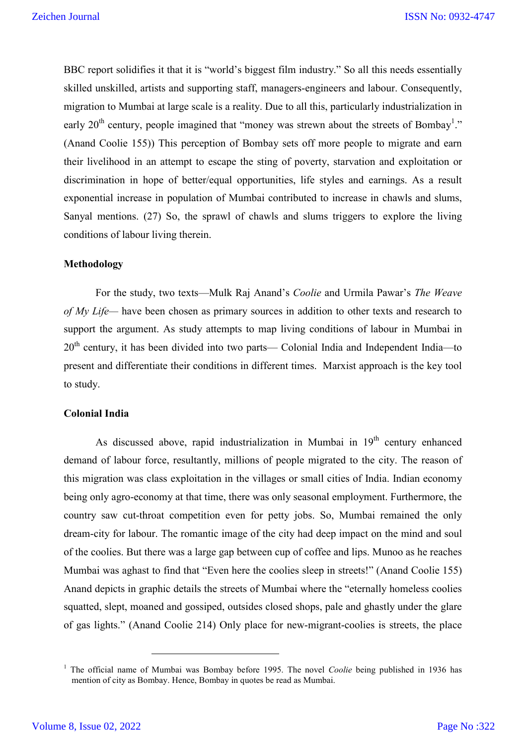BBC report solidifies it that it is "world's biggest film industry." So all this needs essentially skilled unskilled, artists and supporting staff, managers-engineers and labour. Consequently, migration to Mumbai at large scale is a reality. Due to all this, particularly industrialization in early 20<sup>th</sup> century, people imagined that "money was strewn about the streets of Bombay<sup>1</sup>." (Anand Coolie 155)) This perception of Bombay sets off more people to migrate and earn their livelihood in an attempt to escape the sting of poverty, starvation and exploitation or discrimination in hope of better/equal opportunities, life styles and earnings. As a result exponential increase in population of Mumbai contributed to increase in chawls and slums, Sanyal mentions. (27) So, the sprawl of chawls and slums triggers to explore the living conditions of labour living therein.

## **Methodology**

For the study, two texts—Mulk Raj Anand's *Coolie* and Urmila Pawar's *The Weave of My Life—* have been chosen as primary sources in addition to other texts and research to support the argument. As study attempts to map living conditions of labour in Mumbai in  $20<sup>th</sup>$  century, it has been divided into two parts— Colonial India and Independent India—to present and differentiate their conditions in different times. Marxist approach is the key tool to study.

# **Colonial India**

As discussed above, rapid industrialization in Mumbai in  $19<sup>th</sup>$  century enhanced demand of labour force, resultantly, millions of people migrated to the city. The reason of this migration was class exploitation in the villages or small cities of India. Indian economy being only agro-economy at that time, there was only seasonal employment. Furthermore, the country saw cut-throat competition even for petty jobs. So, Mumbai remained the only dream-city for labour. The romantic image of the city had deep impact on the mind and soul of the coolies. But there was a large gap between cup of coffee and lips. Munoo as he reaches Mumbai was aghast to find that "Even here the coolies sleep in streets!" (Anand Coolie 155) Anand depicts in graphic details the streets of Mumbai where the "eternally homeless coolies squatted, slept, moaned and gossiped, outsides closed shops, pale and ghastly under the glare of gas lights." (Anand Coolie 214) Only place for new-migrant-coolies is streets, the place

<sup>&</sup>lt;sup>1</sup> The official name of Mumbai was Bombay before 1995. The novel *Coolie* being published in 1936 has mention of city as Bombay. Hence, Bombay in quotes be read as Mumbai.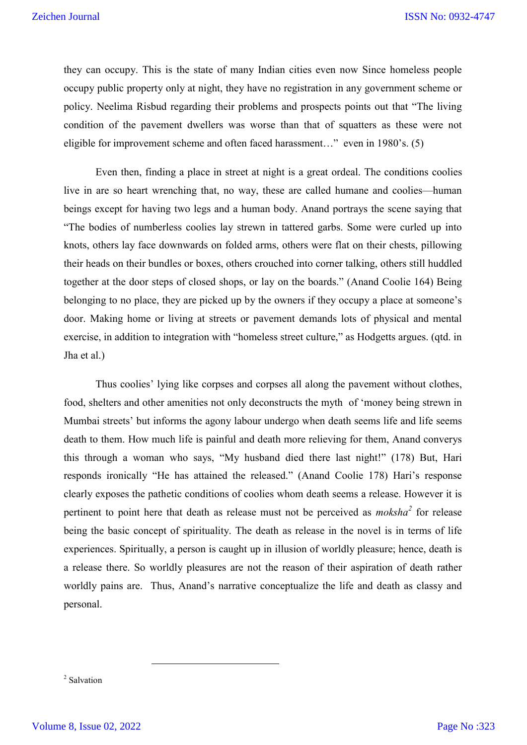they can occupy. This is the state of many Indian cities even now Since homeless people occupy public property only at night, they have no registration in any government scheme or policy. Neelima Risbud regarding their problems and prospects points out that "The living condition of the pavement dwellers was worse than that of squatters as these were not eligible for improvement scheme and often faced harassment…" even in 1980's. (5)

Even then, finding a place in street at night is a great ordeal. The conditions coolies live in are so heart wrenching that, no way, these are called humane and coolies—human beings except for having two legs and a human body. Anand portrays the scene saying that "The bodies of numberless coolies lay strewn in tattered garbs. Some were curled up into knots, others lay face downwards on folded arms, others were flat on their chests, pillowing their heads on their bundles or boxes, others crouched into corner talking, others still huddled together at the door steps of closed shops, or lay on the boards." (Anand Coolie 164) Being belonging to no place, they are picked up by the owners if they occupy a place at someone's door. Making home or living at streets or pavement demands lots of physical and mental exercise, in addition to integration with "homeless street culture," as Hodgetts argues. (qtd. in Jha et al.)

Thus coolies' lying like corpses and corpses all along the pavement without clothes, food, shelters and other amenities not only deconstructs the myth of 'money being strewn in Mumbai streets' but informs the agony labour undergo when death seems life and life seems death to them. How much life is painful and death more relieving for them, Anand converys this through a woman who says, "My husband died there last night!" (178) But, Hari responds ironically "He has attained the released." (Anand Coolie 178) Hari's response clearly exposes the pathetic conditions of coolies whom death seems a release. However it is pertinent to point here that death as release must not be perceived as *moksha<sup>2</sup>* for release being the basic concept of spirituality. The death as release in the novel is in terms of life experiences. Spiritually, a person is caught up in illusion of worldly pleasure; hence, death is a release there. So worldly pleasures are not the reason of their aspiration of death rather worldly pains are. Thus, Anand's narrative conceptualize the life and death as classy and personal.

<sup>2</sup> Salvation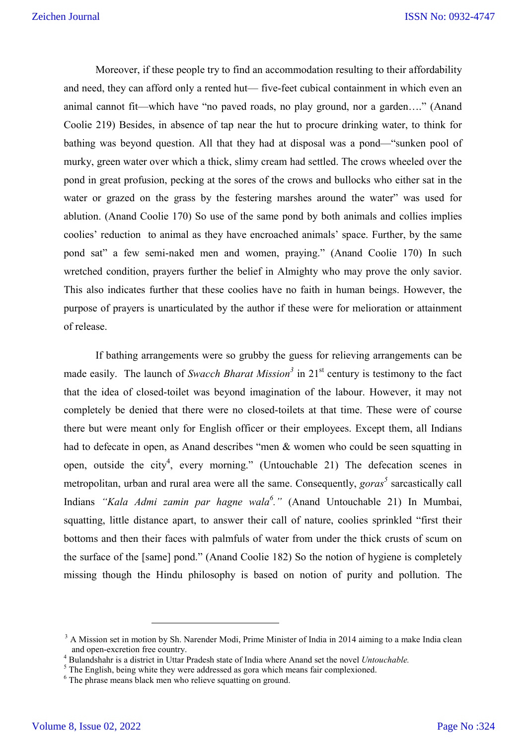Moreover, if these people try to find an accommodation resulting to their affordability and need, they can afford only a rented hut— five-feet cubical containment in which even an animal cannot fit—which have "no paved roads, no play ground, nor a garden…." (Anand Coolie 219) Besides, in absence of tap near the hut to procure drinking water, to think for bathing was beyond question. All that they had at disposal was a pond—"sunken pool of murky, green water over which a thick, slimy cream had settled. The crows wheeled over the pond in great profusion, pecking at the sores of the crows and bullocks who either sat in the water or grazed on the grass by the festering marshes around the water" was used for ablution. (Anand Coolie 170) So use of the same pond by both animals and collies implies coolies' reduction to animal as they have encroached animals' space. Further, by the same pond sat" a few semi-naked men and women, praying." (Anand Coolie 170) In such wretched condition, prayers further the belief in Almighty who may prove the only savior. This also indicates further that these coolies have no faith in human beings. However, the purpose of prayers is unarticulated by the author if these were for melioration or attainment of release.

If bathing arrangements were so grubby the guess for relieving arrangements can be made easily. The launch of *Swacch Bharat Mission*<sup>3</sup> in 21<sup>st</sup> century is testimony to the fact that the idea of closed-toilet was beyond imagination of the labour. However, it may not completely be denied that there were no closed-toilets at that time. These were of course there but were meant only for English officer or their employees. Except them, all Indians had to defecate in open, as Anand describes "men & women who could be seen squatting in open, outside the city<sup>4</sup>, every morning." (Untouchable 21) The defecation scenes in metropolitan, urban and rural area were all the same. Consequently, *goras <sup>5</sup>* sarcastically call Indians *"Kala Admi zamin par hagne wala<sup>6</sup> ."* (Anand Untouchable 21) In Mumbai, squatting, little distance apart, to answer their call of nature, coolies sprinkled "first their bottoms and then their faces with palmfuls of water from under the thick crusts of scum on the surface of the [same] pond." (Anand Coolie 182) So the notion of hygiene is completely missing though the Hindu philosophy is based on notion of purity and pollution. The

<sup>&</sup>lt;sup>3</sup> A Mission set in motion by Sh. Narender Modi, Prime Minister of India in 2014 aiming to a make India clean and open-excretion free country.

and open-excretion free country.<br>
<sup>4</sup> Bulandshahr is a district in Uttar Pradesh state of India where Anand set the novel *Untouchable*.<br>
<sup>5</sup> The English, being white they were addressed as gora which means fair complexion

<sup>&</sup>lt;sup>6</sup> The phrase means black men who relieve squatting on ground.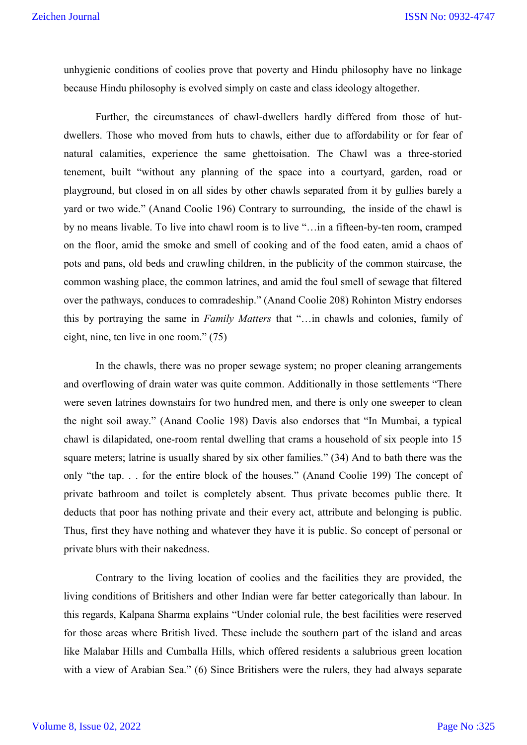unhygienic conditions of coolies prove that poverty and Hindu philosophy have no linkage because Hindu philosophy is evolved simply on caste and class ideology altogether.

Further, the circumstances of chawl-dwellers hardly differed from those of hutdwellers. Those who moved from huts to chawls, either due to affordability or for fear of natural calamities, experience the same ghettoisation. The Chawl was a three-storied tenement, built "without any planning of the space into a courtyard, garden, road or playground, but closed in on all sides by other chawls separated from it by gullies barely a yard or two wide." (Anand Coolie 196) Contrary to surrounding, the inside of the chawl is by no means livable. To live into chawl room is to live "…in a fifteen-by-ten room, cramped on the floor, amid the smoke and smell of cooking and of the food eaten, amid a chaos of pots and pans, old beds and crawling children, in the publicity of the common staircase, the common washing place, the common latrines, and amid the foul smell of sewage that filtered over the pathways, conduces to comradeship." (Anand Coolie 208) Rohinton Mistry endorses this by portraying the same in *Family Matters* that "…in chawls and colonies, family of eight, nine, ten live in one room." (75)

In the chawls, there was no proper sewage system; no proper cleaning arrangements and overflowing of drain water was quite common. Additionally in those settlements "There were seven latrines downstairs for two hundred men, and there is only one sweeper to clean the night soil away." (Anand Coolie 198) Davis also endorses that "In Mumbai, a typical chawl is dilapidated, one-room rental dwelling that crams a household of six people into 15 square meters; latrine is usually shared by six other families." (34) And to bath there was the only "the tap. . . for the entire block of the houses." (Anand Coolie 199) The concept of private bathroom and toilet is completely absent. Thus private becomes public there. It deducts that poor has nothing private and their every act, attribute and belonging is public. Thus, first they have nothing and whatever they have it is public. So concept of personal or private blurs with their nakedness.

Contrary to the living location of coolies and the facilities they are provided, the living conditions of Britishers and other Indian were far better categorically than labour. In this regards, Kalpana Sharma explains "Under colonial rule, the best facilities were reserved for those areas where British lived. These include the southern part of the island and areas like Malabar Hills and Cumballa Hills, which offered residents a salubrious green location with a view of Arabian Sea." (6) Since Britishers were the rulers, they had always separate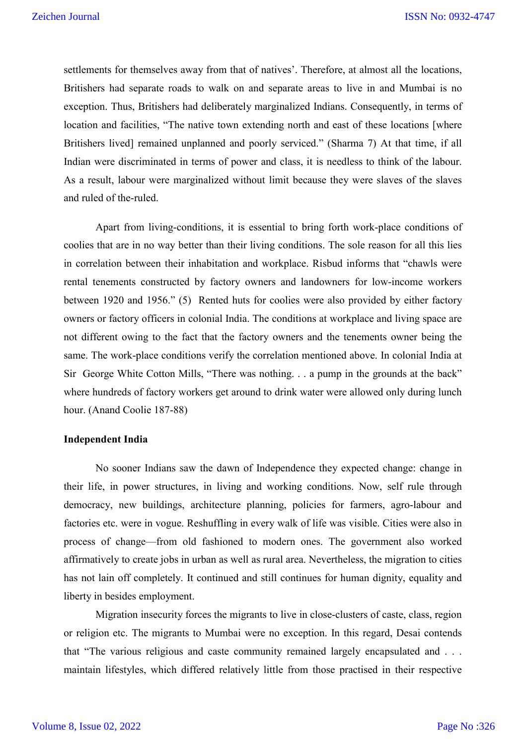settlements for themselves away from that of natives'. Therefore, at almost all the locations, Britishers had separate roads to walk on and separate areas to live in and Mumbai is no exception. Thus, Britishers had deliberately marginalized Indians. Consequently, in terms of location and facilities, "The native town extending north and east of these locations [where Britishers lived] remained unplanned and poorly serviced." (Sharma 7) At that time, if all Indian were discriminated in terms of power and class, it is needless to think of the labour. As a result, labour were marginalized without limit because they were slaves of the slaves and ruled of the-ruled.

Apart from living-conditions, it is essential to bring forth work-place conditions of coolies that are in no way better than their living conditions. The sole reason for all this lies in correlation between their inhabitation and workplace. Risbud informs that "chawls were rental tenements constructed by factory owners and landowners for low-income workers between 1920 and 1956." (5) Rented huts for coolies were also provided by either factory owners or factory officers in colonial India. The conditions at workplace and living space are not different owing to the fact that the factory owners and the tenements owner being the same. The work-place conditions verify the correlation mentioned above. In colonial India at Sir George White Cotton Mills, "There was nothing. . . a pump in the grounds at the back" where hundreds of factory workers get around to drink water were allowed only during lunch hour. (Anand Coolie 187-88)

#### **Independent India**

No sooner Indians saw the dawn of Independence they expected change: change in their life, in power structures, in living and working conditions. Now, self rule through democracy, new buildings, architecture planning, policies for farmers, agro-labour and factories etc. were in vogue. Reshuffling in every walk of life was visible. Cities were also in process of change—from old fashioned to modern ones. The government also worked affirmatively to create jobs in urban as well as rural area. Nevertheless, the migration to cities has not lain off completely. It continued and still continues for human dignity, equality and liberty in besides employment.

Migration insecurity forces the migrants to live in close-clusters of caste, class, region or religion etc. The migrants to Mumbai were no exception. In this regard, Desai contends that "The various religious and caste community remained largely encapsulated and . . . maintain lifestyles, which differed relatively little from those practised in their respective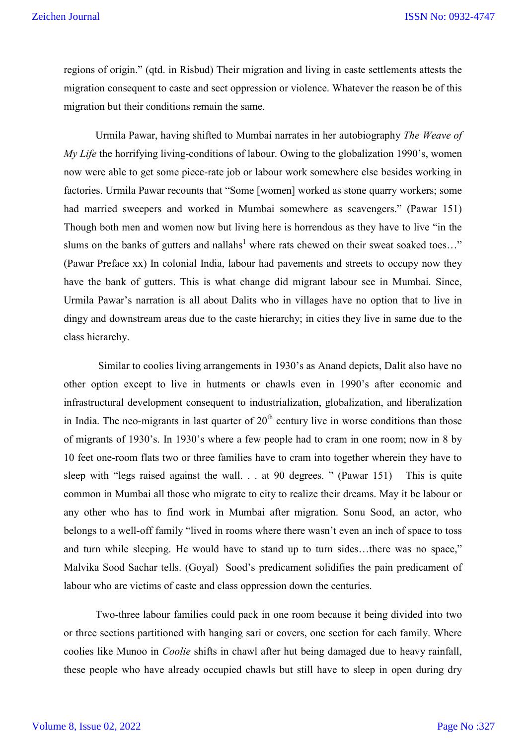regions of origin." (qtd. in Risbud) Their migration and living in caste settlements attests the migration consequent to caste and sect oppression or violence. Whatever the reason be of this migration but their conditions remain the same.

Urmila Pawar, having shifted to Mumbai narrates in her autobiography *The Weave of My Life* the horrifying living-conditions of labour. Owing to the globalization 1990's, women now were able to get some piece-rate job or labour work somewhere else besides working in factories. Urmila Pawar recounts that "Some [women] worked as stone quarry workers; some had married sweepers and worked in Mumbai somewhere as scavengers." (Pawar 151) Though both men and women now but living here is horrendous as they have to live "in the slums on the banks of gutters and nallahs<sup>1</sup> where rats chewed on their sweat soaked toes..." (Pawar Preface xx) In colonial India, labour had pavements and streets to occupy now they have the bank of gutters. This is what change did migrant labour see in Mumbai. Since, Urmila Pawar's narration is all about Dalits who in villages have no option that to live in dingy and downstream areas due to the caste hierarchy; in cities they live in same due to the class hierarchy.

Similar to coolies living arrangements in 1930's as Anand depicts, Dalit also have no other option except to live in hutments or chawls even in 1990's after economic and infrastructural development consequent to industrialization, globalization, and liberalization in India. The neo-migrants in last quarter of  $20<sup>th</sup>$  century live in worse conditions than those of migrants of 1930's. In 1930's where a few people had to cram in one room; now in 8 by 10 feet one-room flats two or three families have to cram into together wherein they have to sleep with "legs raised against the wall. . . at 90 degrees. " (Pawar 151) This is quite common in Mumbai all those who migrate to city to realize their dreams. May it be labour or any other who has to find work in Mumbai after migration. Sonu Sood, an actor, who belongs to a well-off family "lived in rooms where there wasn't even an inch of space to toss and turn while sleeping. He would have to stand up to turn sides…there was no space," Malvika Sood Sachar tells. (Goyal) Sood's predicament solidifies the pain predicament of labour who are victims of caste and class oppression down the centuries.

Two-three labour families could pack in one room because it being divided into two or three sections partitioned with hanging sari or covers, one section for each family. Where coolies like Munoo in *Coolie* shifts in chawl after hut being damaged due to heavy rainfall, these people who have already occupied chawls but still have to sleep in open during dry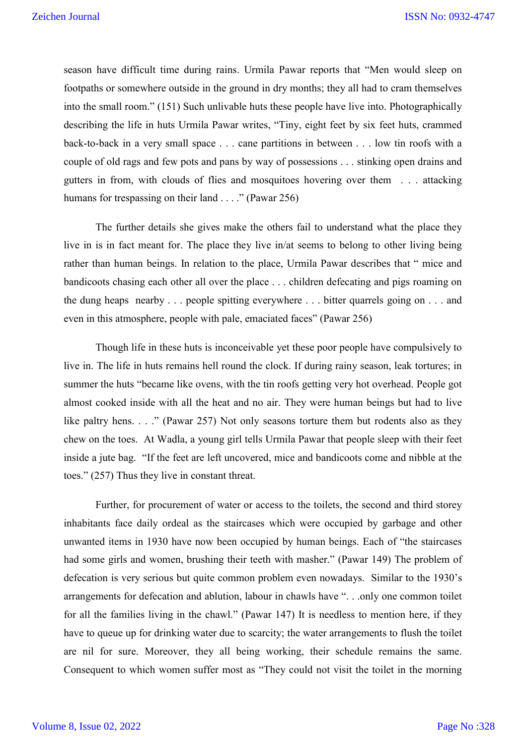season have difficult time during rains. Urmila Pawar reports that "Men would sleep on footpaths or somewhere outside in the ground in dry months; they all had to cram themselves into the small room." (151) Such unlivable huts these people have live into. Photographically describing the life in huts Urmila Pawar writes, "Tiny, eight feet by six feet huts, crammed back-to-back in a very small space . . . cane partitions in between . . . low tin roofs with a couple of old rags and few pots and pans by way of possessions . . . stinking open drains and gutters in from, with clouds of flies and mosquitoes hovering over them . . . attacking humans for trespassing on their land . . . ." (Pawar 256)

The further details she gives make the others fail to understand what the place they live in is in fact meant for. The place they live in/at seems to belong to other living being rather than human beings. In relation to the place, Urmila Pawar describes that " mice and bandicoots chasing each other all over the place . . . children defecating and pigs roaming on the dung heaps nearby . . . people spitting everywhere . . . bitter quarrels going on . . . and even in this atmosphere, people with pale, emaciated faces" (Pawar 256)

Though life in these huts is inconceivable yet these poor people have compulsively to live in. The life in huts remains hell round the clock. If during rainy season, leak tortures; in summer the huts "became like ovens, with the tin roofs getting very hot overhead. People got almost cooked inside with all the heat and no air. They were human beings but had to live like paltry hens. . . ." (Pawar 257) Not only seasons torture them but rodents also as they chew on the toes. At Wadla, a young girl tells Urmila Pawar that people sleep with their feet inside a jute bag. "If the feet are left uncovered, mice and bandicoots come and nibble at the toes." (257) Thus they live in constant threat.

Further, for procurement of water or access to the toilets, the second and third storey inhabitants face daily ordeal as the staircases which were occupied by garbage and other unwanted items in 1930 have now been occupied by human beings. Each of "the staircases had some girls and women, brushing their teeth with masher." (Pawar 149) The problem of defecation is very serious but quite common problem even nowadays. Similar to the 1930's arrangements for defecation and ablution, labour in chawls have ". . .only one common toilet for all the families living in the chawl." (Pawar 147) It is needless to mention here, if they have to queue up for drinking water due to scarcity; the water arrangements to flush the toilet are nil for sure. Moreover, they all being working, their schedule remains the same. Consequent to which women suffer most as "They could not visit the toilet in the morning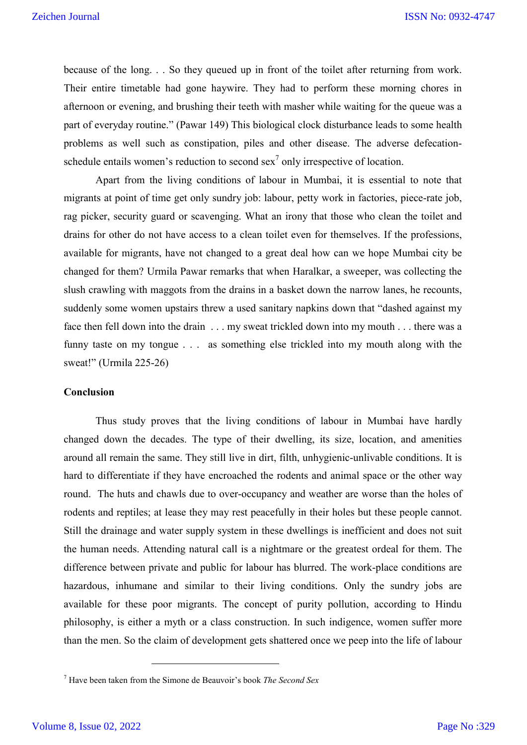because of the long. . . So they queued up in front of the toilet after returning from work. Their entire timetable had gone haywire. They had to perform these morning chores in afternoon or evening, and brushing their teeth with masher while waiting for the queue was a part of everyday routine." (Pawar 149) This biological clock disturbance leads to some health problems as well such as constipation, piles and other disease. The adverse defecationschedule entails women's reduction to second sex<sup>7</sup> only irrespective of location.

Apart from the living conditions of labour in Mumbai, it is essential to note that migrants at point of time get only sundry job: labour, petty work in factories, piece-rate job, rag picker, security guard or scavenging. What an irony that those who clean the toilet and drains for other do not have access to a clean toilet even for themselves. If the professions, available for migrants, have not changed to a great deal how can we hope Mumbai city be changed for them? Urmila Pawar remarks that when Haralkar, a sweeper, was collecting the slush crawling with maggots from the drains in a basket down the narrow lanes, he recounts, suddenly some women upstairs threw a used sanitary napkins down that "dashed against my face then fell down into the drain . . . my sweat trickled down into my mouth . . . there was a funny taste on my tongue . . . as something else trickled into my mouth along with the sweat!" (Urmila 225-26)

# **Conclusion**

Thus study proves that the living conditions of labour in Mumbai have hardly changed down the decades. The type of their dwelling, its size, location, and amenities around all remain the same. They still live in dirt, filth, unhygienic-unlivable conditions. It is hard to differentiate if they have encroached the rodents and animal space or the other way round. The huts and chawls due to over-occupancy and weather are worse than the holes of rodents and reptiles; at lease they may rest peacefully in their holes but these people cannot. Still the drainage and water supply system in these dwellings is inefficient and does not suit the human needs. Attending natural call is a nightmare or the greatest ordeal for them. The difference between private and public for labour has blurred. The work-place conditions are hazardous, inhumane and similar to their living conditions. Only the sundry jobs are available for these poor migrants. The concept of purity pollution, according to Hindu philosophy, is either a myth or a class construction. In such indigence, women suffer more than the men. So the claim of development gets shattered once we peep into the life of labour

<sup>7</sup> Have been taken from the Simone de Beauvoir's book *The Second Sex*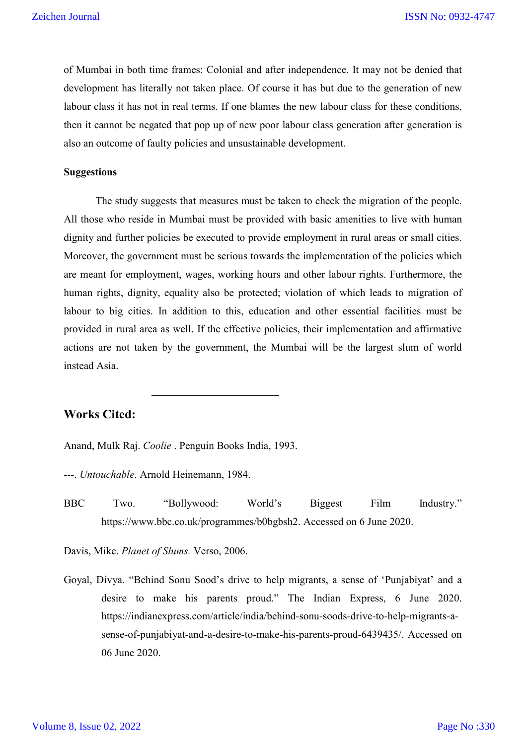of Mumbai in both time frames: Colonial and after independence. It may not be denied that development has literally not taken place. Of course it has but due to the generation of new labour class it has not in real terms. If one blames the new labour class for these conditions, then it cannot be negated that pop up of new poor labour class generation after generation is also an outcome of faulty policies and unsustainable development.

### **Suggestions**

The study suggests that measures must be taken to check the migration of the people. All those who reside in Mumbai must be provided with basic amenities to live with human dignity and further policies be executed to provide employment in rural areas or small cities. Moreover, the government must be serious towards the implementation of the policies which are meant for employment, wages, working hours and other labour rights. Furthermore, the human rights, dignity, equality also be protected; violation of which leads to migration of labour to big cities. In addition to this, education and other essential facilities must be provided in rural area as well. If the effective policies, their implementation and affirmative actions are not taken by the government, the Mumbai will be the largest slum of world instead Asia.

## **Works Cited:**

Anand, Mulk Raj. *Coolie* . Penguin Books India, 1993.

---. *Untouchable*. Arnold Heinemann, 1984.

 $\overline{a}$ 

BBC Two. "Bollywood: World's Biggest Film Industry." https://www.bbc.co.uk/programmes/b0bgbsh2. Accessed on 6 June 2020.

Davis, Mike. *Planet of Slums.* Verso, 2006.

Goyal, Divya. "Behind Sonu Sood's drive to help migrants, a sense of 'Punjabiyat' and a desire to make his parents proud." The Indian Express, 6 June 2020. https://indianexpress.com/article/india/behind-sonu-soods-drive-to-help-migrants-asense-of-punjabiyat-and-a-desire-to-make-his-parents-proud-6439435/. Accessed on 06 June 2020.